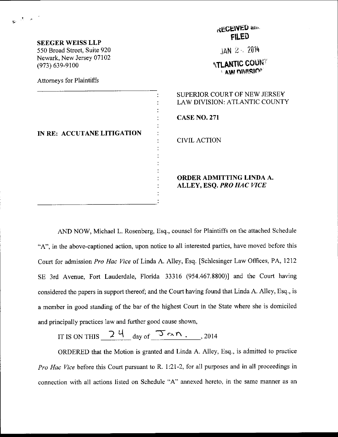| <b>SEEGER WEISS LLP</b><br>550 Broad Street, Suite 920<br>Newark, New Jersey 07102<br>$(973) 639 - 9100$ | КЕЛЬНЕЕ<br><b>FILED</b>                                       |  |
|----------------------------------------------------------------------------------------------------------|---------------------------------------------------------------|--|
|                                                                                                          | $JAN$ 2 $\sim$ 2014                                           |  |
|                                                                                                          | <b><i>ATLANTIC COUNT</i></b><br><b>AW DIVISION</b>            |  |
| <b>Attorneys for Plaintiffs</b>                                                                          |                                                               |  |
| IN RE: ACCUTANE LITIGATION                                                                               | SUPERIOR COURT OF NEW JERSEY<br>LAW DIVISION: ATLANTIC COUNTY |  |
|                                                                                                          | <b>CASE NO. 271</b>                                           |  |
|                                                                                                          | <b>CIVIL ACTION</b>                                           |  |
|                                                                                                          | ORDER ADMITTING LINDA A.<br>ALLEY, ESQ. PRO HAC VICE          |  |

 $\mathbf{s}^{(t)}$  and

**LECENED** and

AND NOW, Michael L. Rosenberg, Esq., counsel for Plaintiffs on the attached Schedule "A", in the above-captioned action, upon notice to all interested parties, have moved before this Court for admission Pro Hac Vice of Linda A. Alley, Esq. [Schlesinger Law Offices, PA, 1212 SE 3rd Avenue, Fort Lauderdale, Florida 33316 (954.467.8800)] and the Court having considered the papers in support thereof; and the Court having found that Linda A. Alley, Esq., is a member in good starding of the bar of the highest Court in the State where she is domiciled and principally practices law and further good cause shown,

IT IS ON THIS  $24$  day of  $\overline{3} \sim n$  , 2014

ORDERED that the Motion is granted and Linda A. Alley, Esq., is admitted to practice Pro Hac Vice before this Court pursuant to R. 1:21-2, for all purposes and in all proceedings in connection with all actions listed on Schedule "A" annexed hereto, in the same manner as an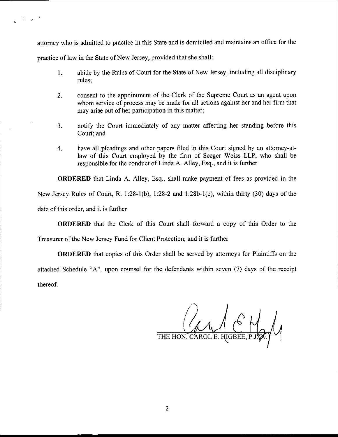attomey who is admitted to practice in this State and is domiciled and maintains an office for the

practice of law in the State of New Jersey, provided that she shall:

 $\mathcal{A}=\mathcal{A}^{-1}$ 

- 1. abide by the Rules of Court for the State of New Jersey, including all disciplinary rules;
- 2. consent to the appointment of the Clerk of the Supreme Court as an agent upon whom service of process may be made for all actions against her and her firm that may arise out of her participation in this matter;
- 3. notifu the Court immediately of any matter affecting her standing before this Court; and
- 4. have all pleadings and other papers filed in this Court signed by an attorney-atlaw of this Court employed by the firm of Seeger Weiss LLP, who shall be responsible for the conduct of Linda A. Alley, Esq., and it is further

**ORDERED** that Linda A. Alley, Esq., shall make payment of fees as provided in the New Jersey Rules of Court, R. 1:28-l(b), 1:28-2 and 1:28b-1(e), within thirty (30) days of the date of this order, and it is further

ORDERED that the Clerk of this Court shall forward a copy of this Order to the

Treasurer of the New Jersey Fund for Client Protection; and it is further

ORDERED that copies of this Order shall be served by attomeys for Plaintiffs on the attached Schedule "A", upon counsel for the defendants within seven (7) days of the receipt thereof.

THE HON. CAROL E. HIGBEE